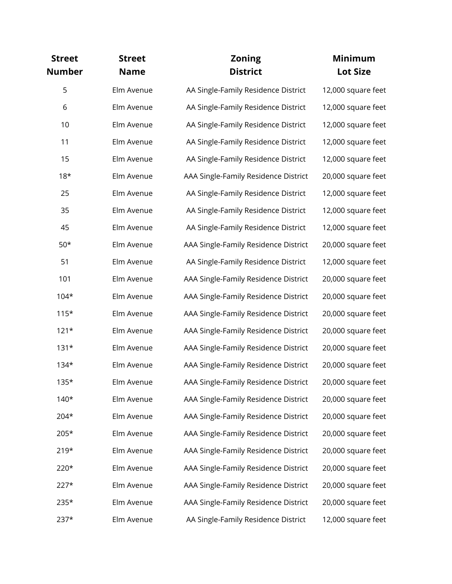| <b>Street</b><br><b>Number</b> | <b>Street</b><br><b>Name</b> | <b>Zoning</b><br><b>District</b>     | <b>Minimum</b><br><b>Lot Size</b> |
|--------------------------------|------------------------------|--------------------------------------|-----------------------------------|
| 5                              | Elm Avenue                   | AA Single-Family Residence District  | 12,000 square feet                |
| 6                              | Elm Avenue                   | AA Single-Family Residence District  | 12,000 square feet                |
| 10                             | Elm Avenue                   | AA Single-Family Residence District  | 12,000 square feet                |
| 11                             | Elm Avenue                   | AA Single-Family Residence District  | 12,000 square feet                |
| 15                             | Elm Avenue                   | AA Single-Family Residence District  | 12,000 square feet                |
| $18*$                          | Elm Avenue                   | AAA Single-Family Residence District | 20,000 square feet                |
| 25                             | Elm Avenue                   | AA Single-Family Residence District  | 12,000 square feet                |
| 35                             | Elm Avenue                   | AA Single-Family Residence District  | 12,000 square feet                |
| 45                             | Elm Avenue                   | AA Single-Family Residence District  | 12,000 square feet                |
| $50*$                          | Elm Avenue                   | AAA Single-Family Residence District | 20,000 square feet                |
| 51                             | Elm Avenue                   | AA Single-Family Residence District  | 12,000 square feet                |
| 101                            | Elm Avenue                   | AAA Single-Family Residence District | 20,000 square feet                |
| $104*$                         | Elm Avenue                   | AAA Single-Family Residence District | 20,000 square feet                |
| $115*$                         | Elm Avenue                   | AAA Single-Family Residence District | 20,000 square feet                |
| $121*$                         | Elm Avenue                   | AAA Single-Family Residence District | 20,000 square feet                |
| $131*$                         | Elm Avenue                   | AAA Single-Family Residence District | 20,000 square feet                |
| $134*$                         | Elm Avenue                   | AAA Single-Family Residence District | 20,000 square feet                |
| $135*$                         | Elm Avenue                   | AAA Single-Family Residence District | 20,000 square feet                |
| $140*$                         | Elm Avenue                   | AAA Single-Family Residence District | 20,000 square feet                |
| 204*                           | Elm Avenue                   | AAA Single-Family Residence District | 20,000 square feet                |
| 205*                           | Elm Avenue                   | AAA Single-Family Residence District | 20,000 square feet                |
| $219*$                         | Elm Avenue                   | AAA Single-Family Residence District | 20,000 square feet                |
| 220*                           | Elm Avenue                   | AAA Single-Family Residence District | 20,000 square feet                |
| $227*$                         | Elm Avenue                   | AAA Single-Family Residence District | 20,000 square feet                |
| 235*                           | Elm Avenue                   | AAA Single-Family Residence District | 20,000 square feet                |
| $237*$                         | Elm Avenue                   | AA Single-Family Residence District  | 12,000 square feet                |
|                                |                              |                                      |                                   |